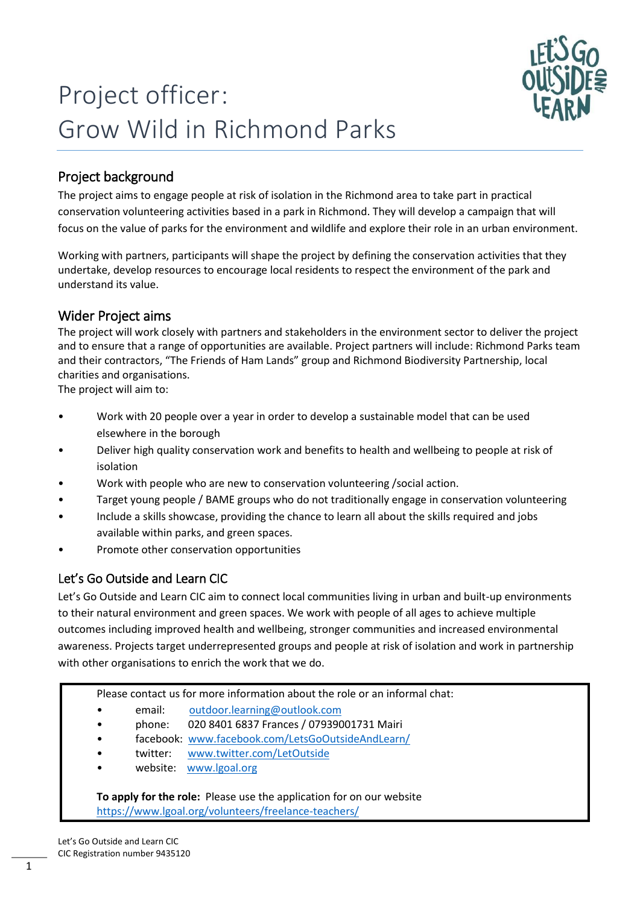

# Project officer: Grow Wild in Richmond Parks

# Project background

The project aims to engage people at risk of isolation in the Richmond area to take part in practical conservation volunteering activities based in a park in Richmond. They will develop a campaign that will focus on the value of parks for the environment and wildlife and explore their role in an urban environment.

Working with partners, participants will shape the project by defining the conservation activities that they undertake, develop resources to encourage local residents to respect the environment of the park and understand its value.

#### Wider Project aims

The project will work closely with partners and stakeholders in the environment sector to deliver the project and to ensure that a range of opportunities are available. Project partners will include: Richmond Parks team and their contractors, "The Friends of Ham Lands" group and Richmond Biodiversity Partnership, local charities and organisations.

The project will aim to:

- Work with 20 people over a year in order to develop a sustainable model that can be used elsewhere in the borough
- Deliver high quality conservation work and benefits to health and wellbeing to people at risk of isolation
- Work with people who are new to conservation volunteering /social action.
- Target young people / BAME groups who do not traditionally engage in conservation volunteering
- Include a skills showcase, providing the chance to learn all about the skills required and jobs available within parks, and green spaces.
- Promote other conservation opportunities

## Let's Go Outside and Learn CIC

Let's Go Outside and Learn CIC aim to connect local communities living in urban and built-up environments to their natural environment and green spaces. We work with people of all ages to achieve multiple outcomes including improved health and wellbeing, stronger communities and increased environmental awareness. Projects target underrepresented groups and people at risk of isolation and work in partnership with other organisations to enrich the work that we do.

Please contact us for more information about the role or an informal chat:

- email: [outdoor.learning@outlook.com](mailto:outdoor.learning@outlook.com)
- phone: 020 8401 6837 Frances / 07939001731 Mairi
- facebook: [www.facebook.com/LetsGoOutsideAndLearn/](http://www.facebook.com/LetsGoOutsideAndLearn/)
- twitter: www.twitter.com/LetOutside
- website: [www.lgoal.org](http://www.lgoal.org/)

**To apply for the role:** Please use the application for on our website <https://www.lgoal.org/volunteers/freelance-teachers/>

Let's Go Outside and Learn CIC CIC Registration number 9435120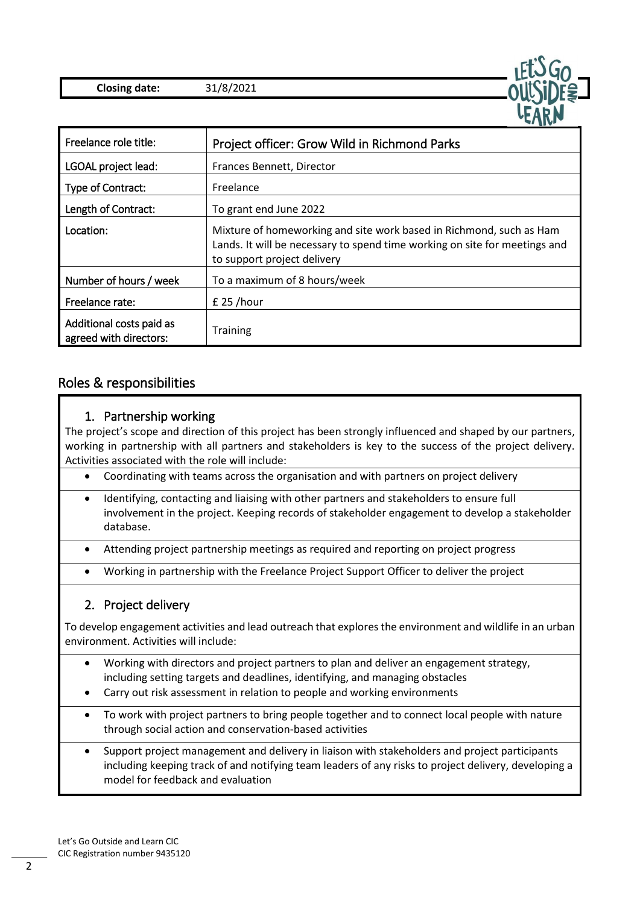



### Roles & responsibilities

#### 1. Partnership working

The project's scope and direction of this project has been strongly influenced and shaped by our partners, working in partnership with all partners and stakeholders is key to the success of the project delivery. Activities associated with the role will include:

- Coordinating with teams across the organisation and with partners on project delivery
- Identifying, contacting and liaising with other partners and stakeholders to ensure full involvement in the project. Keeping records of stakeholder engagement to develop a stakeholder database.
- Attending project partnership meetings as required and reporting on project progress
- Working in partnership with the Freelance Project Support Officer to deliver the project

#### 2. Project delivery

To develop engagement activities and lead outreach that explores the environment and wildlife in an urban environment. Activities will include:

- Working with directors and project partners to plan and deliver an engagement strategy, including setting targets and deadlines, identifying, and managing obstacles
- Carry out risk assessment in relation to people and working environments
- To work with project partners to bring people together and to connect local people with nature through social action and conservation-based activities
- Support project management and delivery in liaison with stakeholders and project participants including keeping track of and notifying team leaders of any risks to project delivery, developing a model for feedback and evaluation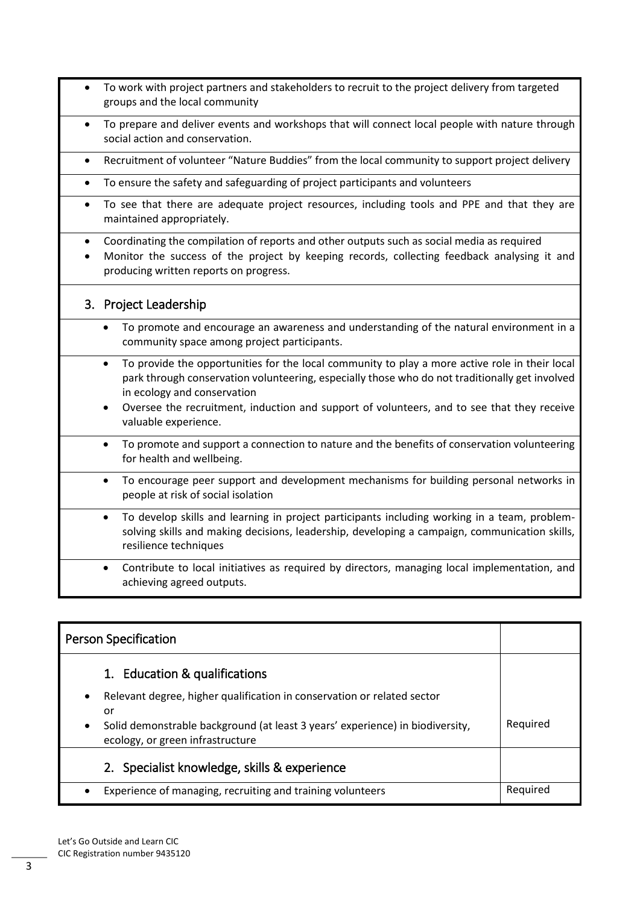- To work with project partners and stakeholders to recruit to the project delivery from targeted groups and the local community
- To prepare and deliver events and workshops that will connect local people with nature through social action and conservation.
- Recruitment of volunteer "Nature Buddies" from the local community to support project delivery
- To ensure the safety and safeguarding of project participants and volunteers
- To see that there are adequate project resources, including tools and PPE and that they are maintained appropriately.
- Coordinating the compilation of reports and other outputs such as social media as required
- Monitor the success of the project by keeping records, collecting feedback analysing it and producing written reports on progress.

#### 3. Project Leadership

- To promote and encourage an awareness and understanding of the natural environment in a community space among project participants.
- To provide the opportunities for the local community to play a more active role in their local park through conservation volunteering, especially those who do not traditionally get involved in ecology and conservation
- Oversee the recruitment, induction and support of volunteers, and to see that they receive valuable experience.
- To promote and support a connection to nature and the benefits of conservation volunteering for health and wellbeing.
- To encourage peer support and development mechanisms for building personal networks in people at risk of social isolation
- To develop skills and learning in project participants including working in a team, problemsolving skills and making decisions, leadership, developing a campaign, communication skills, resilience techniques
- Contribute to local initiatives as required by directors, managing local implementation, and achieving agreed outputs.

| <b>Person Specification</b>                                                                                            |          |
|------------------------------------------------------------------------------------------------------------------------|----------|
| 1. Education & qualifications                                                                                          |          |
| Relevant degree, higher qualification in conservation or related sector<br>٠                                           |          |
| or                                                                                                                     |          |
| Solid demonstrable background (at least 3 years' experience) in biodiversity,<br>٠<br>ecology, or green infrastructure | Required |
| 2. Specialist knowledge, skills & experience                                                                           |          |
| Experience of managing, recruiting and training volunteers                                                             | Reguired |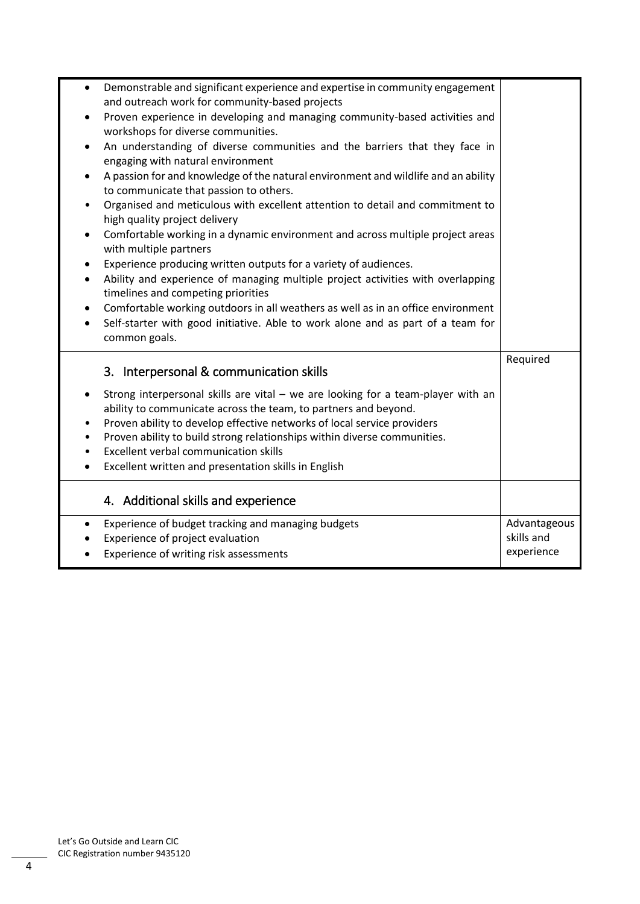| Demonstrable and significant experience and expertise in community engagement<br>$\bullet$<br>and outreach work for community-based projects<br>Proven experience in developing and managing community-based activities and<br>٠<br>workshops for diverse communities.<br>An understanding of diverse communities and the barriers that they face in<br>$\bullet$<br>engaging with natural environment<br>A passion for and knowledge of the natural environment and wildlife and an ability<br>٠<br>to communicate that passion to others.<br>Organised and meticulous with excellent attention to detail and commitment to<br>٠<br>high quality project delivery<br>Comfortable working in a dynamic environment and across multiple project areas<br>٠<br>with multiple partners<br>Experience producing written outputs for a variety of audiences.<br>٠<br>Ability and experience of managing multiple project activities with overlapping<br>$\bullet$<br>timelines and competing priorities<br>Comfortable working outdoors in all weathers as well as in an office environment<br>٠<br>Self-starter with good initiative. Able to work alone and as part of a team for<br>$\bullet$<br>common goals. |                                          |
|--------------------------------------------------------------------------------------------------------------------------------------------------------------------------------------------------------------------------------------------------------------------------------------------------------------------------------------------------------------------------------------------------------------------------------------------------------------------------------------------------------------------------------------------------------------------------------------------------------------------------------------------------------------------------------------------------------------------------------------------------------------------------------------------------------------------------------------------------------------------------------------------------------------------------------------------------------------------------------------------------------------------------------------------------------------------------------------------------------------------------------------------------------------------------------------------------------------|------------------------------------------|
| 3. Interpersonal & communication skills<br>Strong interpersonal skills are vital - we are looking for a team-player with an<br>٠<br>ability to communicate across the team, to partners and beyond.<br>Proven ability to develop effective networks of local service providers<br>٠<br>Proven ability to build strong relationships within diverse communities.<br><b>Excellent verbal communication skills</b><br>٠<br>Excellent written and presentation skills in English<br>$\bullet$                                                                                                                                                                                                                                                                                                                                                                                                                                                                                                                                                                                                                                                                                                                    | Required                                 |
| 4. Additional skills and experience                                                                                                                                                                                                                                                                                                                                                                                                                                                                                                                                                                                                                                                                                                                                                                                                                                                                                                                                                                                                                                                                                                                                                                          |                                          |
| Experience of budget tracking and managing budgets<br>٠<br>Experience of project evaluation<br>Experience of writing risk assessments<br>$\bullet$                                                                                                                                                                                                                                                                                                                                                                                                                                                                                                                                                                                                                                                                                                                                                                                                                                                                                                                                                                                                                                                           | Advantageous<br>skills and<br>experience |